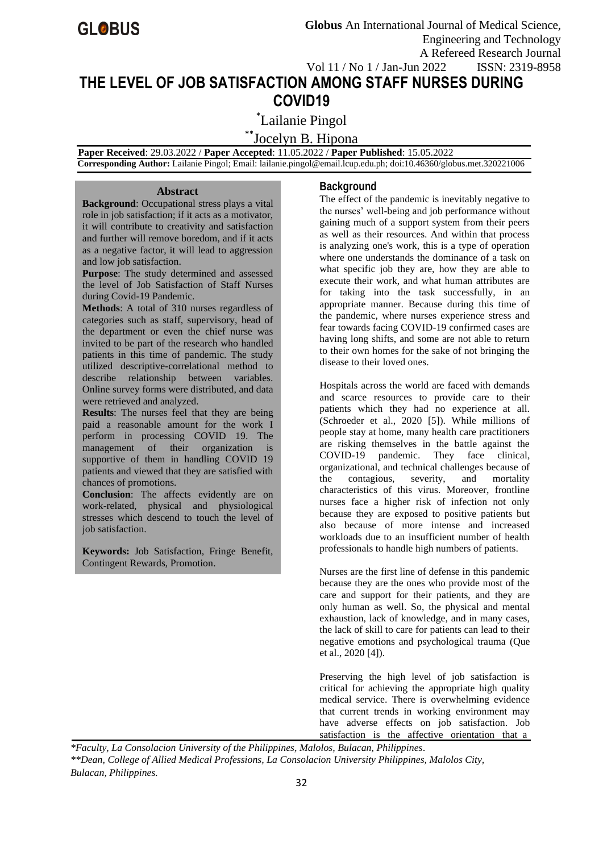# **THE LEVEL OF JOB SATISFACTION AMONG STAFF NURSES DURING COVID19**

\* Lailanie Pingol

\*\*Jocelyn B. Hipona

 **Paper Received**: 29.03.2022 / **Paper Accepted**: 11.05.2022 / **Paper Published**: 15.05.2022

 **Corresponding Author:** Lailanie Pingol; Email[: lailanie.pingol@email.lcup.edu.ph;](mailto:lailanie.pingol@email.lcup.edu.ph) doi:10.46360/globus.met.320221006

# **Abstract**

**Background**: Occupational stress plays a vital role in job satisfaction; if it acts as a motivator, it will contribute to creativity and satisfaction and further will remove boredom, and if it acts as a negative factor, it will lead to aggression and low job satisfaction.

**Purpose**: The study determined and assessed the level of Job Satisfaction of Staff Nurses during Covid-19 Pandemic.

**Methods**: A total of 310 nurses regardless of categories such as staff, supervisory, head of the department or even the chief nurse was invited to be part of the research who handled patients in this time of pandemic. The study utilized descriptive-correlational method to describe relationship between variables. Online survey forms were distributed, and data were retrieved and analyzed.

**Results**: The nurses feel that they are being paid a reasonable amount for the work I perform in processing COVID 19. The management of their organization is supportive of them in handling COVID 19 patients and viewed that they are satisfied with chances of promotions.

**Conclusion**: The affects evidently are on work-related, physical and physiological stresses which descend to touch the level of job satisfaction.

**Keywords:** Job Satisfaction, Fringe Benefit, Contingent Rewards, Promotion.

# **Background**

The effect of the pandemic is inevitably negative to the nurses' well-being and job performance without gaining much of a support system from their peers as well as their resources. And within that process is analyzing one's work, this is a type of operation where one understands the dominance of a task on what specific job they are, how they are able to execute their work, and what human attributes are for taking into the task successfully, in an appropriate manner. Because during this time of the pandemic, where nurses experience stress and fear towards facing COVID-19 confirmed cases are having long shifts, and some are not able to return to their own homes for the sake of not bringing the disease to their loved ones.

Hospitals across the world are faced with demands and scarce resources to provide care to their patients which they had no experience at all. (Schroeder et al., 2020 [5]). While millions of people stay at home, many health care practitioners are risking themselves in the battle against the COVID-19 pandemic. They face clinical, organizational, and technical challenges because of the contagious, severity, and mortality characteristics of this virus. Moreover, frontline nurses face a higher risk of infection not only because they are exposed to positive patients but also because of more intense and increased workloads due to an insufficient number of health professionals to handle high numbers of patients.

Nurses are the first line of defense in this pandemic because they are the ones who provide most of the care and support for their patients, and they are only human as well. So, the physical and mental exhaustion, lack of knowledge, and in many cases, the lack of skill to care for patients can lead to their negative emotions and psychological trauma (Que et al., 2020 [4]).

Preserving the high level of job satisfaction is critical for achieving the appropriate high quality medical service. There is overwhelming evidence that current trends in working environment may have adverse effects on job satisfaction. Job satisfaction is the affective orientation that a

*\*Faculty, La Consolacion University of the Philippines, Malolos, Bulacan, Philippines. \*\*Dean, College of Allied Medical Professions, La Consolacion University Philippines, Malolos City, Bulacan, Philippines.*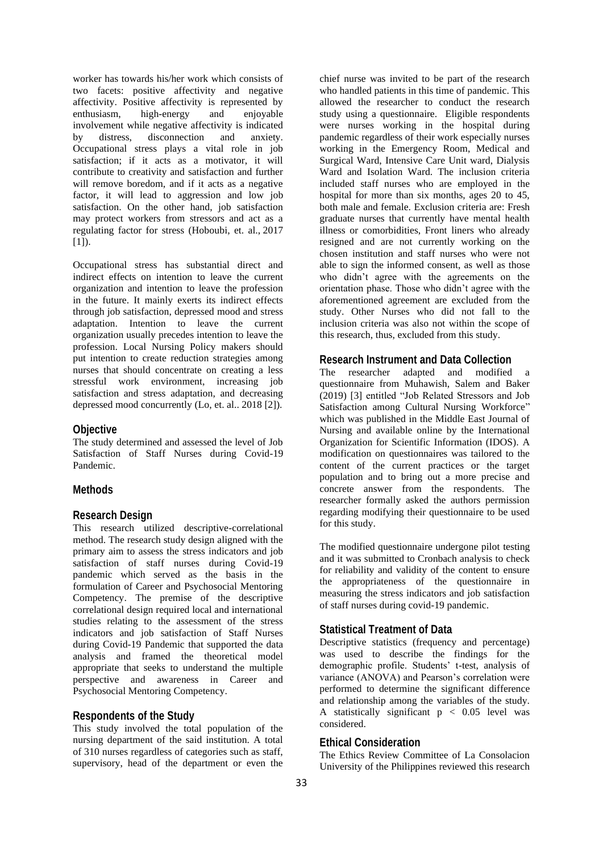worker has towards his/her work which consists of two facets: positive affectivity and negative affectivity. Positive affectivity is represented by enthusiasm, high-energy and enjoyable involvement while negative affectivity is indicated by distress, disconnection and anxiety. Occupational stress plays a vital role in job satisfaction; if it acts as a motivator, it will contribute to creativity and satisfaction and further will remove boredom, and if it acts as a negative factor, it will lead to aggression and low job satisfaction. On the other hand, job satisfaction may protect workers from stressors and act as a regulating factor for stress (Hoboubi, et. al., [2017](https://link.springer.com/article/10.1007/s11356-020-11235-8#ref-CR9)  $[1]$ ).

Occupational stress has substantial direct and indirect effects on intention to leave the current organization and intention to leave the profession in the future. It mainly exerts its indirect effects through job satisfaction, depressed mood and stress adaptation. Intention to leave the current organization usually precedes intention to leave the profession. Local Nursing Policy makers should put intention to create reduction strategies among nurses that should concentrate on creating a less stressful work environment, increasing job satisfaction and stress adaptation, and decreasing depressed mood concurrently (Lo, et. al.. [2018](https://link.springer.com/article/10.1007/s11356-020-11235-8#ref-CR16) [2]).

### **Objective**

The study determined and assessed the level of Job Satisfaction of Staff Nurses during Covid-19 Pandemic.

### **Methods**

### **Research Design**

This research utilized descriptive-correlational method. The research study design aligned with the primary aim to assess the stress indicators and job satisfaction of staff nurses during Covid-19 pandemic which served as the basis in the formulation of Career and Psychosocial Mentoring Competency. The premise of the descriptive correlational design required local and international studies relating to the assessment of the stress indicators and job satisfaction of Staff Nurses during Covid-19 Pandemic that supported the data analysis and framed the theoretical model appropriate that seeks to understand the multiple perspective and awareness in Career and Psychosocial Mentoring Competency.

# **Respondents of the Study**

This study involved the total population of the nursing department of the said institution. A total of 310 nurses regardless of categories such as staff, supervisory, head of the department or even the

chief nurse was invited to be part of the research who handled patients in this time of pandemic. This allowed the researcher to conduct the research study using a questionnaire. Eligible respondents were nurses working in the hospital during pandemic regardless of their work especially nurses working in the Emergency Room, Medical and Surgical Ward, Intensive Care Unit ward, Dialysis Ward and Isolation Ward. The inclusion criteria included staff nurses who are employed in the hospital for more than six months, ages 20 to 45, both male and female. Exclusion criteria are: Fresh graduate nurses that currently have mental health illness or comorbidities, Front liners who already resigned and are not currently working on the chosen institution and staff nurses who were not able to sign the informed consent, as well as those who didn't agree with the agreements on the orientation phase. Those who didn't agree with the aforementioned agreement are excluded from the study. Other Nurses who did not fall to the inclusion criteria was also not within the scope of this research, thus, excluded from this study.

# **Research Instrument and Data Collection**

The researcher adapted and modified a questionnaire from Muhawish, Salem and Baker (2019) [3] entitled "Job Related Stressors and Job Satisfaction among Cultural Nursing Workforce" which was published in the Middle East Journal of Nursing and available online by the International Organization for Scientific Information (IDOS). A modification on questionnaires was tailored to the content of the current practices or the target population and to bring out a more precise and concrete answer from the respondents. The researcher formally asked the authors permission regarding modifying their questionnaire to be used for this study.

The modified questionnaire undergone pilot testing and it was submitted to Cronbach analysis to check for reliability and validity of the content to ensure the appropriateness of the questionnaire in measuring the stress indicators and job satisfaction of staff nurses during covid-19 pandemic.

# **Statistical Treatment of Data**

Descriptive statistics (frequency and percentage) was used to describe the findings for the demographic profile. Students' t-test, analysis of variance (ANOVA) and Pearson's correlation were performed to determine the significant difference and relationship among the variables of the study. A statistically significant  $p < 0.05$  level was considered.

#### **Ethical Consideration**

The Ethics Review Committee of La Consolacion University of the Philippines reviewed this research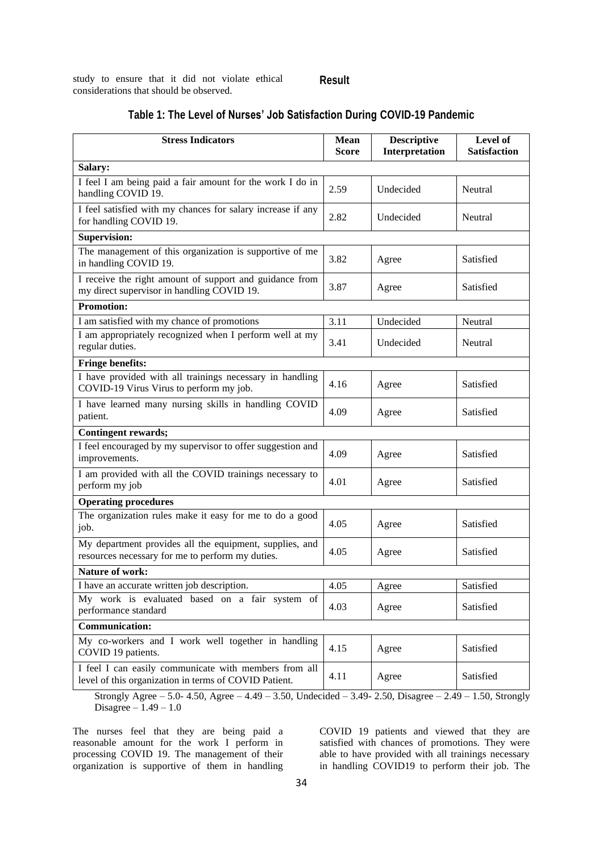study to ensure that it did not violate ethical considerations that should be observed.

# **Result**

| <b>Stress Indicators</b>                                                                                       | <b>Mean</b><br><b>Score</b> | <b>Descriptive</b><br>Interpretation | Level of<br><b>Satisfaction</b> |
|----------------------------------------------------------------------------------------------------------------|-----------------------------|--------------------------------------|---------------------------------|
| Salary:                                                                                                        |                             |                                      |                                 |
| I feel I am being paid a fair amount for the work I do in<br>handling COVID 19.                                | 2.59                        | Undecided                            | Neutral                         |
| I feel satisfied with my chances for salary increase if any<br>for handling COVID 19.                          | 2.82                        | Undecided                            | Neutral                         |
| <b>Supervision:</b>                                                                                            |                             |                                      |                                 |
| The management of this organization is supportive of me<br>in handling COVID 19.                               | 3.82                        | Agree                                | Satisfied                       |
| I receive the right amount of support and guidance from<br>my direct supervisor in handling COVID 19.          | 3.87                        | Agree                                | Satisfied                       |
| <b>Promotion:</b>                                                                                              |                             |                                      |                                 |
| I am satisfied with my chance of promotions                                                                    | 3.11                        | Undecided                            | Neutral                         |
| I am appropriately recognized when I perform well at my<br>regular duties.                                     | 3.41                        | Undecided                            | Neutral                         |
| <b>Fringe benefits:</b>                                                                                        |                             |                                      |                                 |
| I have provided with all trainings necessary in handling<br>COVID-19 Virus Virus to perform my job.            | 4.16                        | Agree                                | Satisfied                       |
| I have learned many nursing skills in handling COVID<br>patient.                                               | 4.09                        | Agree                                | Satisfied                       |
| <b>Contingent rewards;</b>                                                                                     |                             |                                      |                                 |
| I feel encouraged by my supervisor to offer suggestion and<br>improvements.                                    | 4.09                        | Agree                                | Satisfied                       |
| I am provided with all the COVID trainings necessary to<br>perform my job                                      | 4.01                        | Agree                                | Satisfied                       |
| <b>Operating procedures</b>                                                                                    |                             |                                      |                                 |
| The organization rules make it easy for me to do a good<br>job.                                                | 4.05                        | Agree                                | Satisfied                       |
| My department provides all the equipment, supplies, and<br>resources necessary for me to perform my duties.    | 4.05                        | Agree                                | Satisfied                       |
| <b>Nature of work:</b>                                                                                         |                             |                                      |                                 |
| I have an accurate written job description.                                                                    | 4.05                        | Agree                                | Satisfied                       |
| My work is evaluated based on a fair system of<br>performance standard                                         | 4.03                        | Agree                                | Satisfied                       |
| Communication:                                                                                                 |                             |                                      |                                 |
| My co-workers and I work well together in handling<br>COVID 19 patients.                                       | 4.15                        | Agree                                | Satisfied                       |
| I feel I can easily communicate with members from all<br>level of this organization in terms of COVID Patient. | 4.11                        | Agree                                | Satisfied                       |

# **Table 1: The Level of Nurses' Job Satisfaction During COVID-19 Pandemic**

Strongly Agree – 5.0- 4.50, Agree –  $4.49 - 3.50$ , Undecided –  $3.49 - 2.50$ , Disagree –  $2.49 - 1.50$ , Strongly Disagree –  $1.49 - 1.0$ 

The nurses feel that they are being paid a reasonable amount for the work I perform in processing COVID 19. The management of their organization is supportive of them in handling COVID 19 patients and viewed that they are satisfied with chances of promotions. They were able to have provided with all trainings necessary in handling COVID19 to perform their job. The